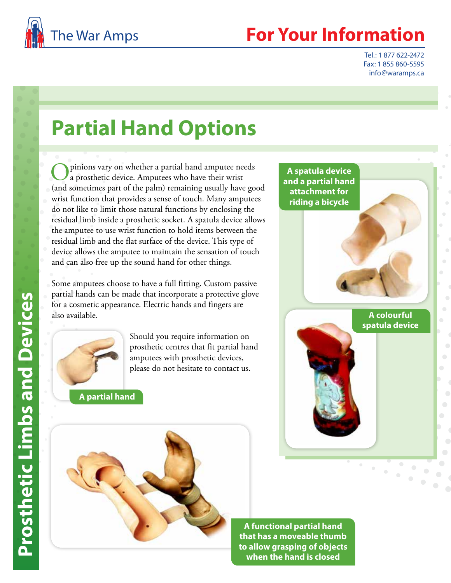

## **Your Information**

Tel.: 1 877 622-2472 Fax: 1 855 860-5595 info@waramps.ca

## **Partial Hand Options**

pinions vary on whether a partial hand amputee needs a prosthetic device. Amputees who have their wrist (and sometimes part of the palm) remaining usually have good wrist function that provides a sense of touch. Many amputees do not like to limit those natural functions by enclosing the residual limb inside a prosthetic socket. A spatula device allows the amputee to use wrist function to hold items between the residual limb and the flat surface of the device. This type of device allows the amputee to maintain the sensation of touch and can also free up the sound hand for other things.

Some amputees choose to have a full fitting. Custom passive partial hands can be made that incorporate a protective glove for a cosmetic appearance. Electric hands and fingers are also available.



Should you require information on prosthetic centres that fit partial hand amputees with prosthetic devices, please do not hesitate to contact us.

**A partial hand** 





**A functional partial hand that has a moveable thumb to allow grasping of objects when the hand is closed**